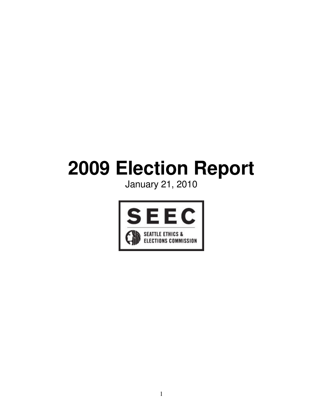# **Election Report**

January 21, 2010

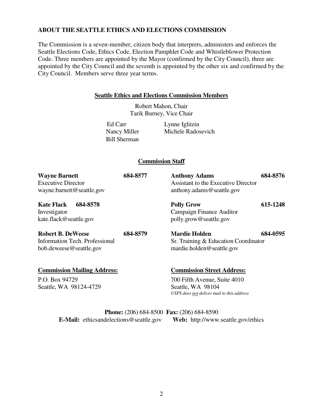#### **ABOUT THE SEATTLE ETHICS AND ELECTIONS COMMISSION**

The Commission is a seven-member, citizen body that interprets, administers and enforces the Seattle Elections Code, Ethics Code, Election Pamphlet Code and Whistleblower Protection Code. Three members are appointed by the Mayor (confirmed by the City Council), three are appointed by the City Council and the seventh is appointed by the other six and confirmed by the City Council. Members serve three year terms.

#### **Seattle Ethics and Elections Commission Members**

Robert Mahon, Chair Tarik Burney, Vice Chair

Bill Sherman

Ed Carr Lynne Iglitzin Nancy Miller Michele Radosevich

#### **Commission Staff**

| <b>Wayne Barnett</b><br><b>Executive Director</b><br>wayne.barnett@seattle.gov        | 684-8577 | <b>Anthony Adams</b><br><b>Assistant to the Executive Director</b><br>anthony.adams@seattle.gov                                      | 684-8576 |
|---------------------------------------------------------------------------------------|----------|--------------------------------------------------------------------------------------------------------------------------------------|----------|
| <b>Kate Flack</b><br>684-8578<br>Investigator<br>kate.flack@seattle.gov               |          | <b>Polly Grow</b><br>Campaign Finance Auditor<br>polly.grow@seattle.gov                                                              | 615-1248 |
| <b>Robert B. DeWeese</b><br>Information Tech. Professional<br>bob.deweese@seattle.gov | 684-8579 | <b>Mardie Holden</b><br>Sr. Training & Education Coordinator<br>mardie.holden@seattle.gov                                            | 684-0595 |
| <b>Commission Mailing Address:</b><br>P.O. Box 94729<br>Seattle, WA 98124-4729        |          | <b>Commission Street Address:</b><br>700 Fifth Avenue, Suite 4010<br>Seattle, WA 98104<br>USPS does not deliver mail to this address |          |

**Phone:** (206) 684-8500 **Fax:** (206) 684-8590 **E-Mail:** ethicsandelections@seattle.gov **Web:** http://www.seattle.gov/ethics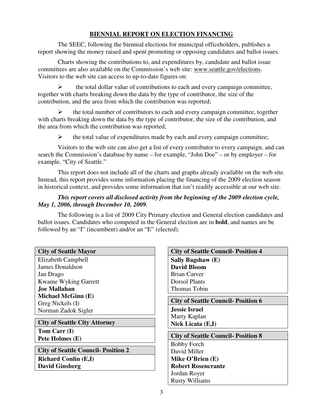#### **BIENNIAL REPORT ON ELECTION FINANCING**

The SEEC, following the biennial elections for municipal officeholders, publishes a report showing the money raised and spent promoting or opposing candidates and ballot issues.

Charts showing the contributions to, and expenditures by, candidate and ballot issue committees are also available on the Commission's web site: www.seattle.gov/elections. Visitors to the web site can access to up-to-date figures on:

 the total dollar value of contributions to each and every campaign committee, together with charts breaking down the data by the type of contributor, the size of the contribution, and the area from which the contribution was reported;

 $\triangleright$  the total number of contributors to each and every campaign committee, together with charts breaking down the data by the type of contributor, the size of the contribution, and the area from which the contribution was reported;

 $\triangleright$  the total value of expenditures made by each and every campaign committee;

Visitors to the web site can also get a list of every contributor to every campaign, and can search the Commission's database by name – for example, "John Doe" – or by employer – for example, "City of Seattle."

This report does not include all of the charts and graphs already available on the web site. Instead, this report provides some information placing the financing of the 2009 election season in historical context, and provides some information that isn't readily accessible at our web site.

#### *This report covers all disclosed activity from the beginning of the 2009 election cycle, May 1, 2006, through December 10, 2009.*

The following is a list of 2009 City Primary election and General election candidates and ballot issues. Candidates who competed in the General election are in **bold**, and names are be followed by an "I" (incumbent) and/or an "E" (elected).

|  |  |  | <b>City of Seattle Mayor</b> |
|--|--|--|------------------------------|
|--|--|--|------------------------------|

Elizabeth Campbell James Donaldson Jan Drago Kwame Wyking Garrett **Joe Mallahan Michael McGinn (E)** Greg Nickels (I) Norman Zadok Sigler

**City of Seattle City Attorney Tom Carr (I) Pete Holmes (E)**

**City of Seattle Council- Position 2 Richard Conlin (E,I) David Ginsberg**

**City of Seattle Council- Position 4 Sally Bagshaw (E) David Bloom** Brian Carver Dorsol Plants Thomas Tobin

**City of Seattle Council- Position 6 Jessie Israel** Marty Kaplan **Nick Licata (E,I)**

**City of Seattle Council- Position 8** Bobby Forch David Miller **Mike O'Brien (E) Robert Rosencrantz** Jordan Royer Rusty Williams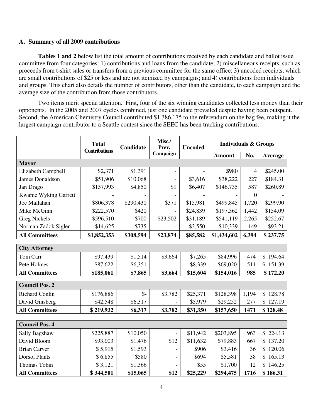#### **A. Summary of all 2009 contributions**

**Tables 1 and 2** below list the total amount of contributions received by each candidate and ballot issue committee from four categories: 1) contributions and loans from the candidate; 2) miscellaneous receipts, such as proceeds from t-shirt sales or transfers from a previous committee for the same office; 3) uncoded receipts, which are small contributions of \$25 or less and are not itemized by campaigns; and 4) contributions from individuals and groups. This chart also details the number of contributors, other than the candidate, to each campaign and the average size of the contribution from those contributors.

Two items merit special attention. First, four of the six winning candidates collected less money than their opponents. In the 2005 and 2007 cycles combined, just one candidate prevailed despite having been outspent. Second, the American Chemistry Council contributed \$1,386,175 to the referendum on the bag fee, making it the largest campaign contributor to a Seattle contest since the SEEC has been tracking contributions.

|                        | <b>Total</b><br><b>Contributions</b> | Candidate | Misc./<br>Prev. | <b>Uncoded</b> |               | <b>Individuals &amp; Groups</b> |                          |
|------------------------|--------------------------------------|-----------|-----------------|----------------|---------------|---------------------------------|--------------------------|
|                        |                                      |           | Campaign        |                | <b>Amount</b> | No.                             | Average                  |
| <b>Mayor</b>           |                                      |           |                 |                |               |                                 |                          |
| Elizabeth Campbell     | \$2,371                              | \$1,391   |                 |                | \$980         | $\overline{4}$                  | \$245.00                 |
| <b>James Donaldson</b> | \$51,906                             | \$10,068  |                 | \$3,616        | \$38,222      | 227                             | \$184.31                 |
| Jan Drago              | \$157,993                            | \$4,850   | \$1             | \$6,407        | \$146,735     | 587                             | \$260.89                 |
| Kwame Wyking Garrett   |                                      |           |                 |                |               | $\overline{0}$                  |                          |
| Joe Mallahan           | \$806,378                            | \$290,430 | \$371           | \$15,981       | \$499,845     | 1,720                           | \$299.90                 |
| Mike McGinn            | \$222,570                            | \$420     |                 | \$24,839       | \$197,362     | 1,442                           | \$154.09                 |
| <b>Greg Nickels</b>    | \$596,510                            | \$700     | \$23,502        | \$31,189       | \$541,119     | 2,265                           | \$252.67                 |
| Norman Zadok Sigler    | \$14,625                             | \$735     |                 | \$3,550        | \$10,339      | 149                             | \$93.21                  |
| <b>All Committees</b>  | \$1,852,353                          | \$308,594 | \$23,874        | \$85,582       | \$1,434,602   | 6,394                           | \$237.75                 |
| <b>City Attorney</b>   |                                      |           |                 |                |               |                                 |                          |
| Tom Carr               | \$97,439                             | \$1,514   | \$3,664         | \$7,265        | \$84,996      | 474                             | \$194.64                 |
| Pete Holmes            | \$87,622                             | \$6,351   |                 | \$8,339        | \$69,020      | 511                             | \$151.39                 |
| <b>All Committees</b>  | \$185,061                            | \$7,865   | \$3,664         | \$15,604       | \$154,016     | 985                             | \$172.20                 |
| <b>Council Pos. 2</b>  |                                      |           |                 |                |               |                                 |                          |
| <b>Richard Conlin</b>  | \$176,886                            | $S-$      | \$3,782         | \$25,371       | \$128,398     | 1,194                           | \$128.78                 |
| David Ginsberg         | \$42,548                             | \$6,317   |                 | \$5,979        | \$29,252      | 277                             | 127.19<br>\$             |
| <b>All Committees</b>  | \$219,932                            | \$6,317   | \$3,782         | \$31,350       | \$157,650     | 1471                            | \$128.48                 |
|                        |                                      |           |                 |                |               |                                 |                          |
| <b>Council Pos. 4</b>  |                                      |           |                 |                |               |                                 |                          |
| Sally Bagshaw          | \$225,887                            | \$10,050  |                 | \$11,942       | \$203,895     | 963                             | \$224.13                 |
| David Bloom            | \$93,003                             | \$1,476   | \$12            | \$11,632       | \$79,883      | 667                             | \$137.20                 |
| <b>Brian Carver</b>    | \$5,915                              | \$1,593   |                 | \$906          | \$3,416       | 36                              | 120.06<br>$\mathbb{S}^-$ |
| <b>Dorsol Plants</b>   | \$6,855                              | \$580     |                 | \$694          | \$5,581       | 38                              | 165.13<br>\$             |
| Thomas Tobin           | \$3,121                              | \$1,366   |                 | \$55           | \$1,700       | 12                              | \$<br>146.25             |
| <b>All Committees</b>  | \$344,501                            | \$15,065  | \$12            | \$25,229       | \$294,475     | 1716                            | \$186.31                 |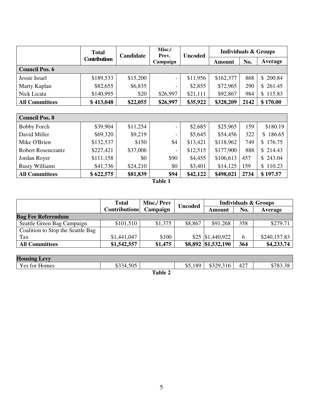|                           | <b>Total</b>         | Candidate | Misc./<br>Prev.          | <b>Uncoded</b> | <b>Individuals &amp; Groups</b> |      |          |
|---------------------------|----------------------|-----------|--------------------------|----------------|---------------------------------|------|----------|
|                           | <b>Contributions</b> |           | Campaign                 |                | Amount                          | No.  | Average  |
| <b>Council Pos. 6</b>     |                      |           |                          |                |                                 |      |          |
| Jessie Israel             | \$189,533            | \$15,200  | $\overline{\phantom{a}}$ | \$11,956       | \$162,377                       | 868  | \$200.84 |
| Marty Kaplan              | \$82,655             | \$6,835   |                          | \$2,855        | \$72,965                        | 290  | \$261.45 |
| Nick Licata               | \$140,995            | \$20      | \$26,997                 | \$21,111       | \$92,867                        | 984  | \$115.83 |
| <b>All Committees</b>     | \$413,048            | \$22,055  | \$26,997                 | \$35,922       | \$328,209                       | 2142 | \$170.00 |
|                           |                      |           |                          |                |                                 |      |          |
| <b>Council Pos. 8</b>     |                      |           |                          |                |                                 |      |          |
| <b>Bobby Forch</b>        | \$39,904             | \$11,254  | -                        | \$2,685        | \$25,965                        | 159  | \$180.19 |
| David Miller              | \$69,320             | \$9,219   |                          | \$5,645        | \$54,456                        | 322  | \$186.65 |
| Mike O'Brien              | \$132,537            | \$150     | \$4                      | \$13,421       | \$118,962                       | 749  | \$176.75 |
| <b>Robert Rosencrantz</b> | \$227,421            | \$37,006  | $\overline{a}$           | \$12,515       | \$177,900                       | 888  | \$214.43 |
| Jordan Royer              | \$111,158            | \$0       | \$90                     | \$4,455        | \$106,613                       | 457  | \$243.04 |
| <b>Rusty Williams</b>     | \$41,736             | \$24,210  | \$0                      | \$3,401        | \$14,125                        | 159  | \$110.23 |
| <b>All Committees</b>     | \$622,575            | \$81,839  | \$94                     | \$42,122       | \$498,021                       | 2734 | \$197.57 |

**Table 1**

|                                   | <b>Total</b>         | <b>Misc./Prev</b> | <b>Uncoded</b> |                     |     | <b>Individuals &amp; Groups</b> |
|-----------------------------------|----------------------|-------------------|----------------|---------------------|-----|---------------------------------|
|                                   | <b>Contributions</b> | Campaign          |                | Amount              | No. | Average                         |
| <b>Bag Fee Referendum</b>         |                      |                   |                |                     |     |                                 |
| Seattle Green Bag Campaign        | \$101,510            | \$1,375           | \$8,867        | \$91,268            | 358 | \$279.71                        |
| Coalition to Stop the Seattle Bag |                      |                   |                |                     |     |                                 |
| Tax                               | \$1,441,047          | \$100             |                | $$25$ $$1,440,922$  | 6   | \$240,157.83                    |
| <b>All Committees</b>             | \$1,542,557          | \$1,475           |                | \$8,892 \$1,532,190 | 364 | \$4,233.74                      |

| <b>Housing Levy</b> |           |         |         |           |     |                     |
|---------------------|-----------|---------|---------|-----------|-----|---------------------|
| Yes for Homes       | \$334,505 |         | \$5,189 | \$329,316 | 427 | 0.702.20<br>05.30 ا |
|                     |           | Table 2 |         |           |     |                     |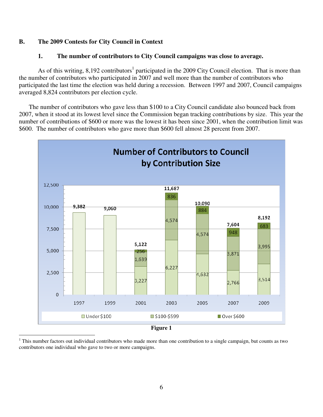#### **B. The 2009 Contests for City Council in Context**

#### **1. The number of contributors to City Council campaigns was close to average.**

As of this writing, 8,192 contributors<sup>1</sup> participated in the 2009 City Council election. That is more than the number of contributors who participated in 2007 and well more than the number of contributors who participated the last time the election was held during a recession. Between 1997 and 2007, Council campaigns averaged 8,824 contributors per election cycle.

The number of contributors who gave less than \$100 to a City Council candidate also bounced back from 2007, when it stood at its lowest level since the Commission began tracking contributions by size. This year the number of contributions of \$600 or more was the lowest it has been since 2001, when the contribution limit was \$600. The number of contributors who gave more than \$600 fell almost 28 percent from 2007.



<sup>&</sup>lt;sup>1</sup> This number factors out individual contributors who made more than one contribution to a single campaign, but counts as two contributors one individual who gave to two or more campaigns.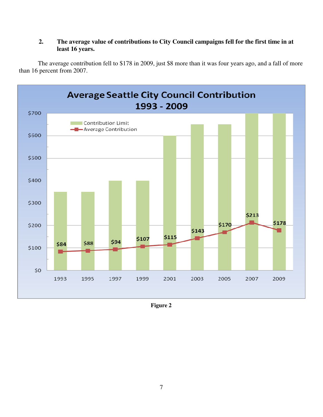### **2. The average value of contributions to City Council campaigns fell for the first time in at least 16 years.**

The average contribution fell to \$178 in 2009, just \$8 more than it was four years ago, and a fall of more than 16 percent from 2007.



**Figure 2**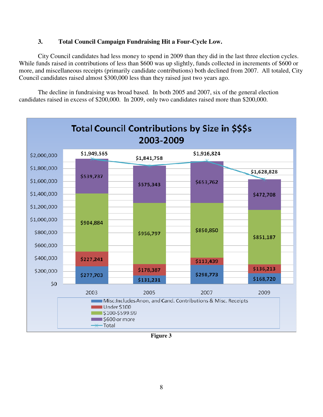#### **3. Total Council Campaign Fundraising Hit a Four-Cycle Low.**

City Council candidates had less money to spend in 2009 than they did in the last three election cycles. While funds raised in contributions of less than \$600 was up slightly, funds collected in increments of \$600 or more, and miscellaneous receipts (primarily candidate contributions) both declined from 2007. All totaled, City Council candidates raised almost \$300,000 less than they raised just two years ago.

The decline in fundraising was broad based. In both 2005 and 2007, six of the general election candidates raised in excess of \$200,000. In 2009, only two candidates raised more than \$200,000.



**Figure 3**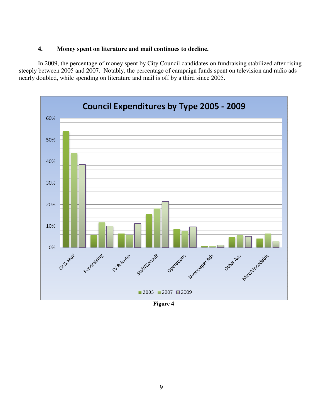#### **4. Money spent on literature and mail continues to decline.**

In 2009, the percentage of money spent by City Council candidates on fundraising stabilized after rising steeply between 2005 and 2007. Notably, the percentage of campaign funds spent on television and radio ads nearly doubled, while spending on literature and mail is off by a third since 2005.



**Figure 4**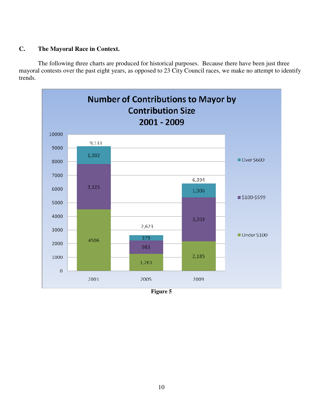#### **C. The Mayoral Race in Context.**

The following three charts are produced for historical purposes. Because there have been just three mayoral contests over the past eight years, as opposed to 23 City Council races, we make no attempt to identify trends.



**Figure 5**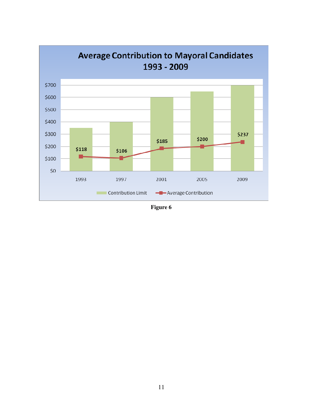

Figure 6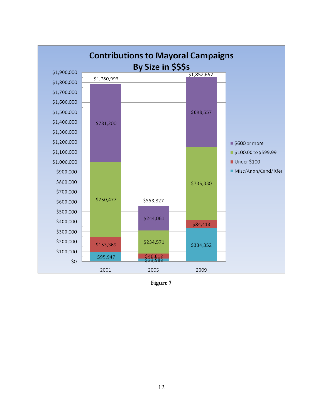

Figure 7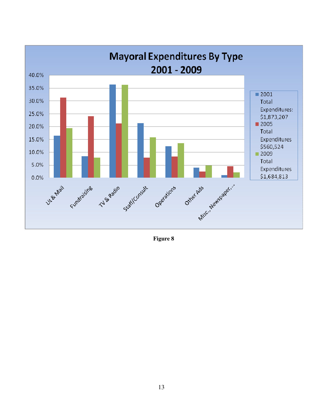

Figure 8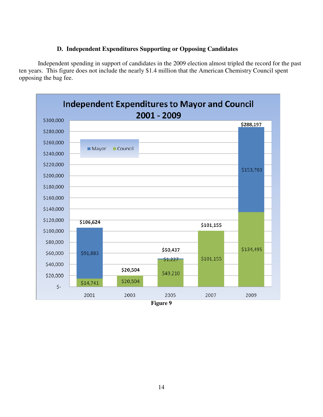#### **D. Independent Expenditures Supporting or Opposing Candidates**

Independent spending in support of candidates in the 2009 election almost tripled the record for the past ten years. This figure does not include the nearly \$1.4 million that the American Chemistry Council spent opposing the bag fee.

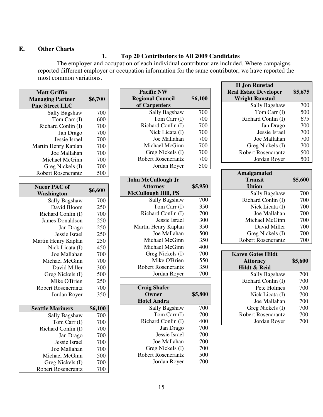#### **E. Other Charts**

#### **1. Top 20 Contributors to All 2009 Candidates**

The employer and occupation of each individual contributor are included. Where campaigns reported different employer or occupation information for the same contributor, we have reported the most common variations.

| <b>Matt Griffin</b>       |         |
|---------------------------|---------|
| <b>Managing Partner</b>   | \$6,700 |
| <b>Pine Street LLC</b>    |         |
| <b>Sally Bagshaw</b>      | 700     |
| Tom Carr (I)              | 600     |
| Richard Conlin (I)        | 700     |
| Jan Drago                 | 700     |
| Jessie Israel             | 700     |
| Martin Henry Kaplan       | 700     |
| Joe Mallahan              | 700     |
| Michael McGinn            | 700     |
| Greg Nickels (I)          | 700     |
| <b>Robert Rosencrantz</b> | 500     |
|                           |         |
| <b>Nucor PAC of</b>       | \$6,600 |
| Washington                |         |
| <b>Sally Bagshaw</b>      | 700     |
| David Bloom               | 250     |
| Richard Conlin (I)        | 700     |
| <b>James Donaldson</b>    | 250     |
| Jan Drago                 | 250     |
| Jessie Israel             | 250     |
| Martin Henry Kaplan       | 250     |
| Nick Licata (I)           | 450     |
| Joe Mallahan              | 700     |
| Michael McGinn            | 700     |
| David Miller              | 300     |
| Greg Nickels (I)          | 500     |
| Mike O'Brien              | 250     |
| <b>Robert Rosencrantz</b> | 700     |
| Jordan Royer              | 350     |
|                           |         |
| <b>Seattle Mariners</b>   | \$6,100 |
| Sally Bagshaw             | 700     |
| Tom Carr (I)              | 700     |
| Richard Conlin (I)        | 700     |
| Jan Drago                 | 700     |
| Jessie Israel             | 700     |
| Joe Mallahan              | 700     |

Michael McGinn 500<br>Greg Nickels (I) 700

Robert Rosencrantz 700

Greg Nickels (I)

| \$6,100 |
|---------|
|         |
|         |
|         |
| 700     |
| 700     |
| 700     |
| 700     |
| 700     |
| 700     |
| 700     |
| 700     |
| 500     |
|         |

| <b>John McCullough Jr</b>  |         |
|----------------------------|---------|
| <b>Attorney</b>            | \$5,950 |
| <b>McCullough Hill, PS</b> |         |
| Sally Bagshaw              | 700     |
| Tom Carr (I)               | 350     |
| Richard Conlin (I)         | 700     |
| Jessie Israel              | 300     |
| Martin Henry Kaplan        | 350     |
| Joe Mallahan               | 500     |
| Michael McGinn             | 350     |
| Michael McGinn             | 400     |
| Greg Nickels (I)           | 700     |
| Mike O'Brien               | 550     |
| <b>Robert Rosencrantz</b>  | 350     |
| Jordan Royer               | 700     |
|                            |         |
| <b>Craig Shafer</b>        |         |
| Owner                      | \$5,800 |
| <b>Hotel Andra</b>         |         |
| Sally Bagshaw              | 700     |
| Tom Carr (I)               | 700     |
| Richard Conlin (I)         | 400     |
| Jan Drago                  | 700     |
| Jessie Israel              | 700     |
| Joe Mallahan               | 700     |

|         | Sally Dagshaw             | /VV     |
|---------|---------------------------|---------|
| 700     | Richard Conlin (I)        | 700     |
| 350     | Nick Licata (I)           | 700     |
| 700     | Joe Mallahan              | 700     |
| 300     | Michael McGinn            | 700     |
| 350     | David Miller              | 700     |
| 500     | Greg Nickels (I)          | 700     |
| 350     | <b>Robert Rosencrantz</b> | 700     |
|         |                           |         |
| 400     |                           |         |
| 700     | <b>Karen Gates Hildt</b>  |         |
| 550     | <b>Attorney</b>           | \$5,600 |
| 350     | Hildt & Reid              |         |
| 700     | Sally Bagshaw             | 700     |
|         | Richard Conlin (I)        | 700     |
|         | Pete Holmes               | 700     |
| \$5,800 | Nick Licata (I)           | 700     |

| Greg Nickels (I)          | 700     |
|---------------------------|---------|
| <b>Robert Rosencrantz</b> | 500     |
| Jordan Royer              | 500     |
|                           |         |
| <b>Amalgamated</b>        |         |
| Transit                   | \$5,600 |
| Union                     |         |
| Sally Bagshaw             | 700     |
| Richard Conlin (I)        | 700     |
| Nick Licata (I)           | 700     |
| Joe Mallahan              | 700     |
| Michael McGinn            | 700     |
| David Miller              | 700     |
| Greg Nickels (I)          | 700     |

**H Jon Runstad Real Estate Developer Wright Runstad**

**\$5,675**

Sally Bagshaw 700 Tom Carr  $(I)$  500 Richard Conlin (I) 675

> Jan Drago 700 Jessie Israel 700 Joe Mallahan 700

| <b>Karen Gates Hildt</b> |         |
|--------------------------|---------|
| <b>Attorney</b>          | \$5,600 |
| Hildt & Reid             |         |
| Sally Bagshaw            | 700     |
| Richard Conlin (I)       | 700     |
| Pete Holmes              | 700     |
| Nick Licata (I)          | 700     |
| Joe Mallahan             | 700     |
| Greg Nickels (I)         | 700     |
| Robert Rosencrantz       | 700     |
| Jordan Royer             | 700     |
|                          |         |

Greg Nickels (I) 700 Robert Rosencrantz 500 Jordan Royer 700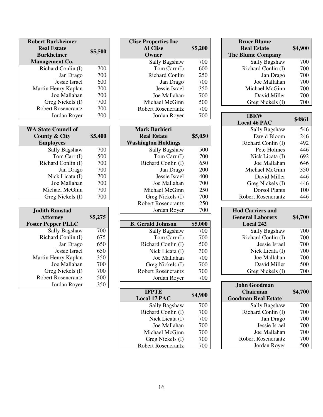| <b>Bruce Blume</b>       |         |
|--------------------------|---------|
| <b>Real Estate</b>       | \$4,900 |
| <b>The Blume Company</b> |         |
| Sally Bagshaw            | 700     |
| Richard Conlin (I)       | 700     |
| Jan Drago                | 700     |
| Joe Mallahan             | 700     |
| Michael McGinn           | 700     |
| David Miller             | 700     |
| Greg Nickels (I)         | 700     |

| <b>IBEW</b>         | \$4861 |
|---------------------|--------|
| <b>Local 46 PAC</b> |        |
| Sally Bagshaw       | 546    |
| David Bloom         | 246    |
| Richard Conlin (I)  | 492    |
| Pete Holmes         | 446    |
| Nick Licata (I)     | 692    |
| Joe Mallahan        | 646    |
| Michael McGinn      | 350    |
| David Miller        | 446    |
| Greg Nickels (I)    | 446    |
| Dorsol Plants       | 100    |
| Robert Rosencrantz  |        |

| <b>Hod Carriers and</b><br><b>General Laborers</b><br><b>Local 242</b> | \$4,700 |
|------------------------------------------------------------------------|---------|
| Sally Bagshaw                                                          | 700     |
| Richard Conlin (I)                                                     | 700     |
| Jessie Israel                                                          | 700     |
| Nick Licata (I)                                                        | 700     |
| Joe Mallahan                                                           | 700     |
| David Miller                                                           | 500     |
| Greg Nickels (I)                                                       | 700     |

| John Goodman               |         |
|----------------------------|---------|
| <b>Chairman</b>            | \$4,700 |
| <b>Goodman Real Estate</b> |         |
| Sally Bagshaw              | 700     |
| Richard Conlin (I)         | 700     |
| Jan Drago                  | 700     |
| Jessie Israel              | 700     |
| Joe Mallahan               | 700     |
| Robert Rosencrantz         | 700     |
| Jordan Royer               |         |

| <b>Clise Properties Inc</b> |         |
|-----------------------------|---------|
| <b>Al Clise</b>             | \$5,200 |
| Owner                       |         |
| Sally Bagshaw               | 700     |
| Tom Carr (I)                | 600     |
| <b>Richard Conlin</b>       | 250     |
| Jan Drago                   | 700     |
| Jessie Israel               | 350     |
| Joe Mallahan                | 700     |
| Michael McGinn              | 500     |
| <b>Robert Rosencrantz</b>   | 700     |
| Jordan Royer                | 700     |
| <b>Mark Barbieri</b>        |         |
| <b>Real Estate</b>          | \$5,050 |
| <b>Washington Holdings</b>  |         |
| Sally Bagshaw               | 500     |
| Tom Carr (I)                | 700     |
| Richard Conlin (I)          | 650     |
| Jan Drago                   | 200     |
| Jessie Israel               | 400     |
| Joe Mallahan                | 700     |
| Michael McGinn              | 250     |
| Greg Nickels (I)            | 700     |
| <b>Robert Rosencrantz</b>   | 250     |
| Jordan Royer                | 700     |
| <b>B.</b> Gerald Johnson    | \$5,000 |
| Sally Bagshaw               | 700     |
| Tom Carr (I)                | 700     |
| Richard Conlin (I)          | 500     |
| Nick Licata (I)             | 300     |
| Joe Mallahan                | 700     |
| Greg Nickels (I)            | 700     |
| <b>Robert Rosencrantz</b>   | 700     |
| Jordan Royer                | 700     |
| <b>IFPTE</b>                |         |
| <b>Local 17 PAC</b>         | \$4,900 |
| Sally Bagshaw               | 700     |
| Richard Conlin (I)          | 700     |
| Nick Licata (I)             | 700     |
|                             |         |

| <b>Real Estate</b><br><b>Burkheimer</b>   |            |
|-------------------------------------------|------------|
|                                           | \$5,500    |
|                                           |            |
| <b>Management Co.</b>                     |            |
| Richard Conlin (I)                        | 700        |
| Jan Drago                                 | 700        |
| Jessie Israel                             | 600        |
| Martin Henry Kaplan                       | 700        |
| Joe Mallahan                              | 700        |
| Greg Nickels (I)                          | 700        |
| <b>Robert Rosencrantz</b>                 | 700        |
| Jordan Royer                              | 700        |
|                                           |            |
| <b>WA State Council of</b>                |            |
| <b>County &amp; City</b>                  | \$5,400    |
| <b>Employees</b>                          |            |
| <b>Sally Bagshaw</b>                      | 700        |
| Tom Carr (I)                              | 500        |
| Richard Conlin (I)                        | 700        |
| Jan Drago                                 | 700        |
| Nick Licata (I)                           | 700        |
| Joe Mallahan                              | 700        |
| Michael McGinn                            | 700        |
| Greg Nickels (I)                          | 700        |
|                                           |            |
| <b>Judith Runstad</b>                     |            |
| <b>Attorney</b>                           | \$5,275    |
| <b>Foster Pepper PLLC</b>                 |            |
| Sally Bagshaw                             | 700        |
| Richard Conlin (I)                        | 675        |
| Jan Drago                                 | 650        |
| Jessie Israel                             | 650        |
| Martin Henry Kaplan                       | 350        |
| Joe Mallahan                              | 700        |
|                                           | 700        |
| Greg Nickels (I)                          |            |
| <b>Robert Rosencrantz</b><br>Jordan Royer | 500<br>350 |

Joe Mallahan 700 Michael McGinn 700<br>Greg Nickels (I) 700 Greg Nickels (I) 700 Robert Rosencrantz 700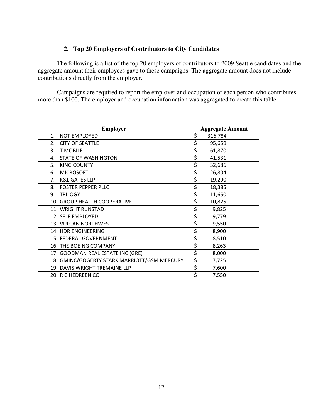#### 2. Top 20 Employers of Contributors to City Candidates

The following is a list of the top 20 employers of contributors to 2009 Seattle candidates and the aggregate amount their employees gave to these campaigns. The aggregate amount does not include contributions directly from the employer.

Campaigns are required to report the employer and occupation of each person who contributes more than \$100. The employer and occupation information was aggregated to create this table.

| <b>Employer</b>                              | <b>Aggregate Amount</b> |
|----------------------------------------------|-------------------------|
| 1.<br><b>NOT EMPLOYED</b>                    | \$<br>316,784           |
| <b>CITY OF SEATTLE</b><br>2.                 | \$<br>95,659            |
| 3.<br><b>T MOBILE</b>                        | \$<br>61,870            |
| <b>STATE OF WASHINGTON</b><br>4.             | \$<br>41,531            |
| <b>KING COUNTY</b><br>5.                     | \$<br>32,686            |
| <b>MICROSOFT</b><br>6.                       | \$<br>26,804            |
| <b>K&amp;L GATES LLP</b><br>7.               | \$<br>19,290            |
| <b>FOSTER PEPPER PLLC</b><br>8.              | \$<br>18,385            |
| <b>TRILOGY</b><br>9.                         | \$<br>11,650            |
| 10. GROUP HEALTH COOPERATIVE                 | \$<br>10,825            |
| 11. WRIGHT RUNSTAD                           | \$<br>9,825             |
| 12. SELF EMPLOYED                            | \$<br>9,779             |
| 13. VULCAN NORTHWEST                         | \$<br>9,550             |
| 14. HDR ENGINEERING                          | \$<br>8,900             |
| 15. FEDERAL GOVERNMENT                       | \$<br>8,510             |
| <b>16. THE BOEING COMPANY</b>                | \$<br>8,263             |
| 17. GOODMAN REAL ESTATE INC (GRE)            | \$<br>8,000             |
| 18. GMINC/GOGERTY STARK MARRIOTT/GSM MERCURY | \$<br>7,725             |
| 19. DAVIS WRIGHT TREMAINE LLP                | \$<br>7,600             |
| 20. R C HEDREEN CO                           | \$<br>7,550             |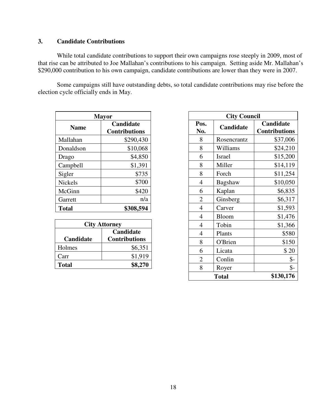#### **3. Candidate Contributions**

While total candidate contributions to support their own campaigns rose steeply in 2009, most of that rise can be attributed to Joe Mallahan's contributions to his campaign. Setting aside Mr. Mallahan's \$290,000 contribution to his own campaign, candidate contributions are lower than they were in 2007.

Some campaigns still have outstanding debts, so total candidate contributions may rise before the election cycle officially ends in May.

| <b>Mayor</b>   |                                          |  |
|----------------|------------------------------------------|--|
| <b>Name</b>    | <b>Candidate</b><br><b>Contributions</b> |  |
| Mallahan       | \$290,430                                |  |
| Donaldson      | \$10,068                                 |  |
| Drago          | \$4,850                                  |  |
| Campbell       | \$1,391                                  |  |
| Sigler         | \$735                                    |  |
| <b>Nickels</b> | \$700                                    |  |
| McGinn         | \$420                                    |  |
| Garrett        | n/a                                      |  |
| <b>Total</b>   | \$308,594                                |  |

| <b>City Attorney</b> |                      |  |
|----------------------|----------------------|--|
| Candidate            |                      |  |
| Candidate            | <b>Contributions</b> |  |
| Holmes               | \$6,351              |  |
| Carr                 | \$1,919              |  |
| Total                | \$8.270              |  |

| <b>City Council</b> |              |                                   |
|---------------------|--------------|-----------------------------------|
| Pos.<br>No.         | Candidate    | Candidate<br><b>Contributions</b> |
| 8                   | Rosencrantz  | \$37,006                          |
| 8                   | Williams     | \$24,210                          |
| 6                   | Israel       | \$15,200                          |
| 8                   | Miller       | \$14,119                          |
| 8                   | Forch        | \$11,254                          |
| 4                   | Bagshaw      | \$10,050                          |
| 6                   | Kaplan       | \$6,835                           |
| $\overline{2}$      | Ginsberg     | \$6,317                           |
| $\overline{4}$      | Carver       | \$1,593                           |
| 4                   | <b>Bloom</b> | \$1,476                           |
| $\overline{4}$      | Tobin        | \$1,366                           |
| 4                   | Plants       | \$580                             |
| 8                   | O'Brien      | \$150                             |
| 6                   | Licata       | \$20                              |
| $\overline{2}$      | Conlin       | \$-                               |
| 8                   | Royer        | \$-                               |
|                     | <b>Total</b> | \$130,176                         |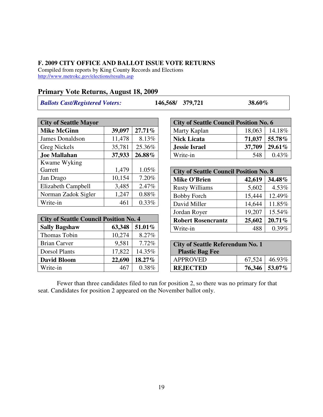#### **F. 2009 CITY OFFICE AND BALLOT ISSUE VOTE RETURNS**

Compiled from reports by King County Records and Elections http://www.metrokc.gov/elections/results.asp

#### **Primary Vote Returns, August 18, 2009**

*Ballots Cast/Registered Voters:* **146,568/ 379,721 38.60%**

| <b>City of Seattle Mayor</b> |        |        |
|------------------------------|--------|--------|
| <b>Mike McGinn</b>           | 39,097 | 27.71% |
| <b>James Donaldson</b>       | 11,478 | 8.13%  |
| Greg Nickels                 | 35,781 | 25.36% |
| <b>Joe Mallahan</b>          | 37,933 | 26.88% |
| Kwame Wyking                 |        |        |
| Garrett                      | 1,479  | 1.05%  |
| Jan Drago                    | 10,154 | 7.20%  |
| Elizabeth Campbell           | 3,485  | 2.47%  |
| Norman Zadok Sigler          | 1,247  | 0.88%  |
| Write-in                     | 461    | 0.33%  |

| <b>City of Seattle Council Position No. 4</b> |        |        |
|-----------------------------------------------|--------|--------|
| <b>Sally Bagshaw</b>                          | 63,348 | 51.01% |
| Thomas Tobin                                  | 10,274 | 8.27%  |
| <b>Brian Carver</b>                           | 9,581  | 7.72%  |
| <b>Dorsol Plants</b>                          | 17,822 | 14.35% |
| <b>David Bloom</b>                            | 22,690 | 18.27% |
| Write-in                                      | 467    | 0.38%  |

| <b>City of Seattle Council Position No. 6</b> |        |          |
|-----------------------------------------------|--------|----------|
| Marty Kaplan                                  | 18,063 | 14.18%   |
| <b>Nick Licata</b>                            | 71,037 | 55.78%   |
| Jessie Israel                                 | 37,709 | 29.61%   |
| Write-in                                      | 548    | $0.43\%$ |

| <b>City of Seattle Council Position No. 8</b> |        |        |
|-----------------------------------------------|--------|--------|
| <b>Mike O'Brien</b>                           | 42,619 | 34.48% |
| <b>Rusty Williams</b>                         | 5,602  | 4.53%  |
| <b>Bobby Forch</b>                            | 15,444 | 12.49% |
| David Miller                                  | 14,644 | 11.85% |
| Jordan Royer                                  | 19,207 | 15.54% |
| <b>Robert Rosencrantz</b>                     | 25,602 | 20.71% |
| Write-in                                      | 488    | 0.39%  |

| <b>City of Seattle Referendum No. 1</b><br><b>Plastic Bag Fee</b> |  |                 |
|-------------------------------------------------------------------|--|-----------------|
| <b>APPROVED</b>                                                   |  | $67,524$ 46.93% |
| <b>REJECTED</b>                                                   |  | 76,346   53.07% |

Fewer than three candidates filed to run for position 2, so there was no primary for that seat. Candidates for position 2 appeared on the November ballot only.